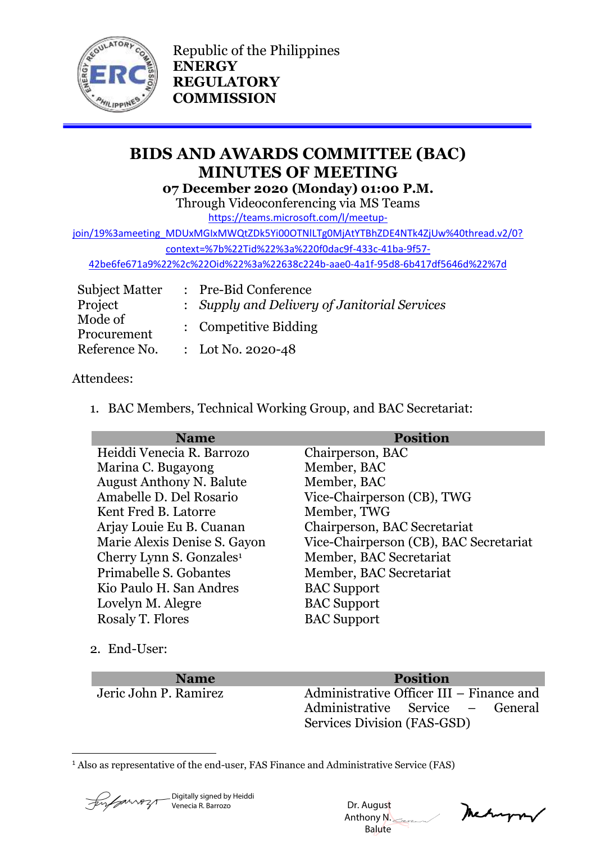

Republic of the Philippines **ENERGY REGULATORY COMMISSION**

# **BIDS AND AWARDS COMMITTEE (BAC) MINUTES OF MEETING 07 December 2020 (Monday) 01:00 P.M.**

Through Videoconferencing via MS Teams

[https://teams.microsoft.com/l/meetup-](https://teams.microsoft.com/l/meetup-join/19%3ameeting_MDUxMGIxMWQtZDk5Yi00OTNlLTg0MjAtYTBhZDE4NTk4ZjUw%40thread.v2/0?context=%7b%22Tid%22%3a%220f0dac9f-433c-41ba-9f57-42be6fe671a9%22%2c%22Oid%22%3a%22638c224b-aae0-4a1f-95d8-6b417df5646d%22%7d)

[join/19%3ameeting\\_MDUxMGIxMWQtZDk5Yi00OTNlLTg0MjAtYTBhZDE4NTk4ZjUw%40thread.v2/0?](https://teams.microsoft.com/l/meetup-join/19%3ameeting_MDUxMGIxMWQtZDk5Yi00OTNlLTg0MjAtYTBhZDE4NTk4ZjUw%40thread.v2/0?context=%7b%22Tid%22%3a%220f0dac9f-433c-41ba-9f57-42be6fe671a9%22%2c%22Oid%22%3a%22638c224b-aae0-4a1f-95d8-6b417df5646d%22%7d)

[context=%7b%22Tid%22%3a%220f0dac9f-433c-41ba-9f57-](https://teams.microsoft.com/l/meetup-join/19%3ameeting_MDUxMGIxMWQtZDk5Yi00OTNlLTg0MjAtYTBhZDE4NTk4ZjUw%40thread.v2/0?context=%7b%22Tid%22%3a%220f0dac9f-433c-41ba-9f57-42be6fe671a9%22%2c%22Oid%22%3a%22638c224b-aae0-4a1f-95d8-6b417df5646d%22%7d)

[42be6fe671a9%22%2c%22Oid%22%3a%22638c224b-aae0-4a1f-95d8-6b417df5646d%22%7d](https://teams.microsoft.com/l/meetup-join/19%3ameeting_MDUxMGIxMWQtZDk5Yi00OTNlLTg0MjAtYTBhZDE4NTk4ZjUw%40thread.v2/0?context=%7b%22Tid%22%3a%220f0dac9f-433c-41ba-9f57-42be6fe671a9%22%2c%22Oid%22%3a%22638c224b-aae0-4a1f-95d8-6b417df5646d%22%7d)

| <b>Subject Matter</b>  | : Pre-Bid Conference                         |
|------------------------|----------------------------------------------|
| Project                | : Supply and Delivery of Janitorial Services |
| Mode of<br>Procurement | : Competitive Bidding                        |
| Reference No.          | : Lot No. 2020-48                            |

### Attendees:

1. BAC Members, Technical Working Group, and BAC Secretariat:

| <b>Name</b>                          | <b>Position</b>                        |
|--------------------------------------|----------------------------------------|
| Heiddi Venecia R. Barrozo            | Chairperson, BAC                       |
| Marina C. Bugayong                   | Member, BAC                            |
| <b>August Anthony N. Balute</b>      | Member, BAC                            |
| Amabelle D. Del Rosario              | Vice-Chairperson (CB), TWG             |
| Kent Fred B. Latorre                 | Member, TWG                            |
| Arjay Louie Eu B. Cuanan             | Chairperson, BAC Secretariat           |
| Marie Alexis Denise S. Gayon         | Vice-Chairperson (CB), BAC Secretariat |
| Cherry Lynn S. Gonzales <sup>1</sup> | Member, BAC Secretariat                |
| Primabelle S. Gobantes               | Member, BAC Secretariat                |
| Kio Paulo H. San Andres              | <b>BAC</b> Support                     |
| Lovelyn M. Alegre                    | <b>BAC</b> Support                     |
| Rosaly T. Flores                     | <b>BAC Support</b>                     |

2. End-User:

### **Name Position**

Jeric John P. Ramirez Administrative Officer III – Finance and Administrative Service – General Services Division (FAS-GSD)

1 <sup>1</sup> Also as representative of the end-user, FAS Finance and Administrative Service (FAS)

Digitally signed by Heiddi Venecia R. Barrozo

 Dr. August Anthony N. Balute

Mehappy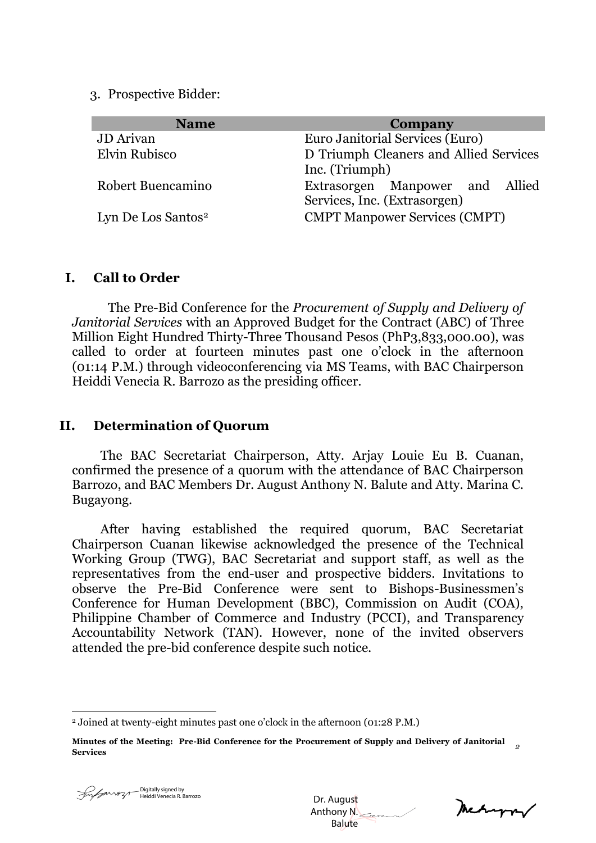3. Prospective Bidder:

| <b>Name</b>                    | <b>Company</b>                                                  |
|--------------------------------|-----------------------------------------------------------------|
| <b>JD</b> Arivan               | Euro Janitorial Services (Euro)                                 |
| Elvin Rubisco                  | D Triumph Cleaners and Allied Services<br>Inc. (Triumph)        |
| Robert Buencamino              | Extrasorgen Manpower and Allied<br>Services, Inc. (Extrasorgen) |
| Lyn De Los Santos <sup>2</sup> | <b>CMPT Manpower Services (CMPT)</b>                            |

#### **I. Call to Order**

The Pre-Bid Conference for the *Procurement of Supply and Delivery of Janitorial Services* with an Approved Budget for the Contract (ABC) of Three Million Eight Hundred Thirty-Three Thousand Pesos (PhP3,833,000.00), was called to order at fourteen minutes past one o'clock in the afternoon (01:14 P.M.) through videoconferencing via MS Teams, with BAC Chairperson Heiddi Venecia R. Barrozo as the presiding officer.

#### **II. Determination of Quorum**

The BAC Secretariat Chairperson, Atty. Arjay Louie Eu B. Cuanan, confirmed the presence of a quorum with the attendance of BAC Chairperson Barrozo, and BAC Members Dr. August Anthony N. Balute and Atty. Marina C. Bugayong.

After having established the required quorum, BAC Secretariat Chairperson Cuanan likewise acknowledged the presence of the Technical Working Group (TWG), BAC Secretariat and support staff, as well as the representatives from the end-user and prospective bidders. Invitations to observe the Pre-Bid Conference were sent to Bishops-Businessmen's Conference for Human Development (BBC), Commission on Audit (COA), Philippine Chamber of Commerce and Industry (PCCI), and Transparency Accountability Network (TAN). However, none of the invited observers attended the pre-bid conference despite such notice.

1

 Dr. August Anthony N. Balute

neturn/

<sup>2</sup> Joined at twenty-eight minutes past one o'clock in the afternoon (01:28 P.M.)

**Minutes of the Meeting: Pre-Bid Conference for the Procurement of Supply and Delivery of Janitorial Services** *<sup>2</sup>*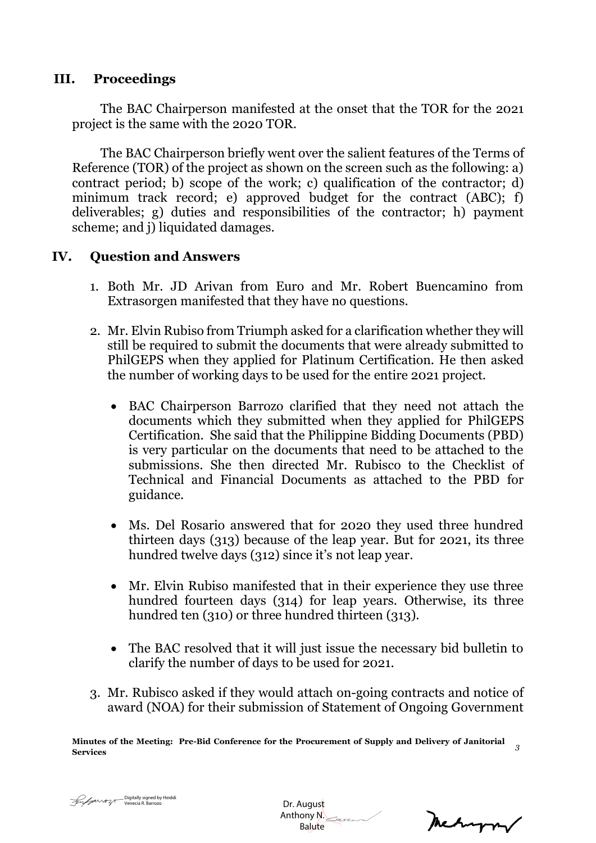### **III. Proceedings**

The BAC Chairperson manifested at the onset that the TOR for the 2021 project is the same with the 2020 TOR.

The BAC Chairperson briefly went over the salient features of the Terms of Reference (TOR) of the project as shown on the screen such as the following: a) contract period; b) scope of the work; c) qualification of the contractor; d) minimum track record; e) approved budget for the contract (ABC); f) deliverables; g) duties and responsibilities of the contractor; h) payment scheme; and j) liquidated damages.

## **IV. Question and Answers**

- 1. Both Mr. JD Arivan from Euro and Mr. Robert Buencamino from Extrasorgen manifested that they have no questions.
- 2. Mr. Elvin Rubiso from Triumph asked for a clarification whether they will still be required to submit the documents that were already submitted to PhilGEPS when they applied for Platinum Certification. He then asked the number of working days to be used for the entire 2021 project.
	- BAC Chairperson Barrozo clarified that they need not attach the documents which they submitted when they applied for PhilGEPS Certification. She said that the Philippine Bidding Documents (PBD) is very particular on the documents that need to be attached to the submissions. She then directed Mr. Rubisco to the Checklist of Technical and Financial Documents as attached to the PBD for guidance.
	- Ms. Del Rosario answered that for 2020 they used three hundred thirteen days (313) because of the leap year. But for 2021, its three hundred twelve days (312) since it's not leap year.
	- Mr. Elvin Rubiso manifested that in their experience they use three hundred fourteen days (314) for leap years. Otherwise, its three hundred ten (310) or three hundred thirteen (313).
	- The BAC resolved that it will just issue the necessary bid bulletin to clarify the number of days to be used for 2021.
- 3. Mr. Rubisco asked if they would attach on-going contracts and notice of award (NOA) for their submission of Statement of Ongoing Government

**Minutes of the Meeting: Pre-Bid Conference for the Procurement of Supply and Delivery of Janitorial Services** *<sup>3</sup>*

 Dr. August Anthony N. Balute

metryon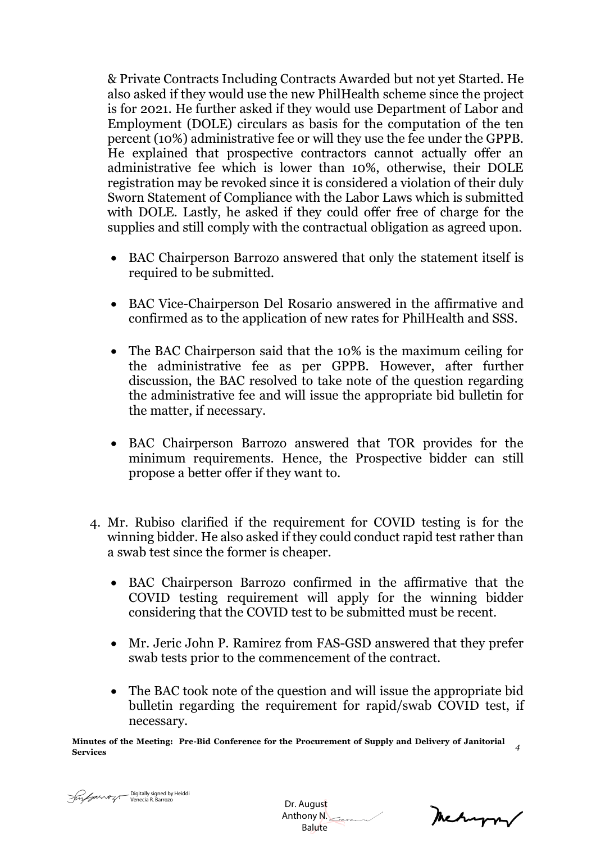& Private Contracts Including Contracts Awarded but not yet Started. He also asked if they would use the new PhilHealth scheme since the project is for 2021. He further asked if they would use Department of Labor and Employment (DOLE) circulars as basis for the computation of the ten percent (10%) administrative fee or will they use the fee under the GPPB. He explained that prospective contractors cannot actually offer an administrative fee which is lower than 10%, otherwise, their DOLE registration may be revoked since it is considered a violation of their duly Sworn Statement of Compliance with the Labor Laws which is submitted with DOLE. Lastly, he asked if they could offer free of charge for the supplies and still comply with the contractual obligation as agreed upon.

- BAC Chairperson Barrozo answered that only the statement itself is required to be submitted.
- BAC Vice-Chairperson Del Rosario answered in the affirmative and confirmed as to the application of new rates for PhilHealth and SSS.
- The BAC Chairperson said that the 10% is the maximum ceiling for the administrative fee as per GPPB. However, after further discussion, the BAC resolved to take note of the question regarding the administrative fee and will issue the appropriate bid bulletin for the matter, if necessary.
- BAC Chairperson Barrozo answered that TOR provides for the minimum requirements. Hence, the Prospective bidder can still propose a better offer if they want to.
- 4. Mr. Rubiso clarified if the requirement for COVID testing is for the winning bidder. He also asked if they could conduct rapid test rather than a swab test since the former is cheaper.
	- BAC Chairperson Barrozo confirmed in the affirmative that the COVID testing requirement will apply for the winning bidder considering that the COVID test to be submitted must be recent.
	- Mr. Jeric John P. Ramirez from FAS-GSD answered that they prefer swab tests prior to the commencement of the contract.
	- The BAC took note of the question and will issue the appropriate bid bulletin regarding the requirement for rapid/swab COVID test, if necessary.

**Minutes of the Meeting: Pre-Bid Conference for the Procurement of Supply and Delivery of Janitorial Services** *<sup>4</sup>*

 Dr. August Anthony N. Balute

Mechangrav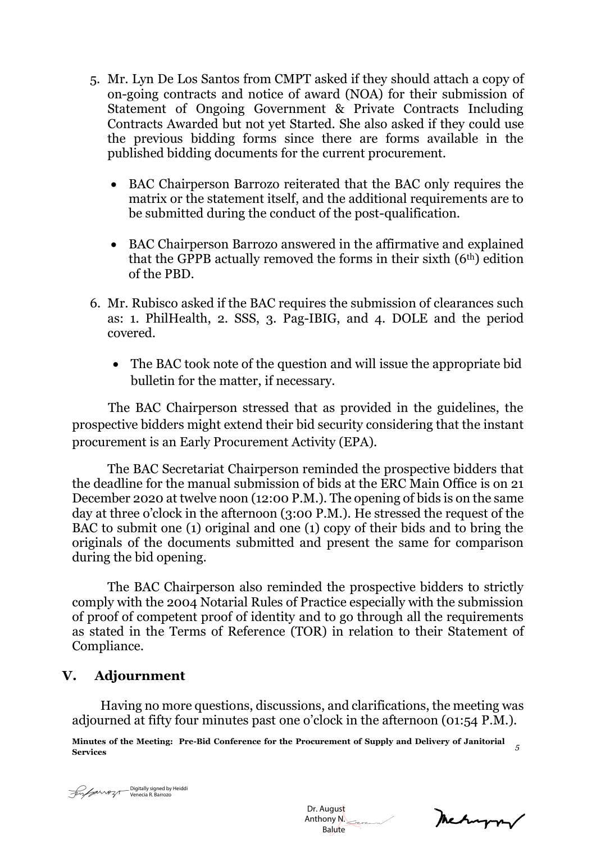- 5. Mr. Lyn De Los Santos from CMPT asked if they should attach a copy of on-going contracts and notice of award (NOA) for their submission of Statement of Ongoing Government & Private Contracts Including Contracts Awarded but not yet Started. She also asked if they could use the previous bidding forms since there are forms available in the published bidding documents for the current procurement.
	- BAC Chairperson Barrozo reiterated that the BAC only requires the matrix or the statement itself, and the additional requirements are to be submitted during the conduct of the post-qualification.
	- BAC Chairperson Barrozo answered in the affirmative and explained that the GPPB actually removed the forms in their sixth  $(6<sup>th</sup>)$  edition of the PBD.
- 6. Mr. Rubisco asked if the BAC requires the submission of clearances such as: 1. PhilHealth, 2. SSS, 3. Pag-IBIG, and 4. DOLE and the period covered.
	- The BAC took note of the question and will issue the appropriate bid bulletin for the matter, if necessary.

The BAC Chairperson stressed that as provided in the guidelines, the prospective bidders might extend their bid security considering that the instant procurement is an Early Procurement Activity (EPA).

The BAC Secretariat Chairperson reminded the prospective bidders that the deadline for the manual submission of bids at the ERC Main Office is on 21 December 2020 at twelve noon (12:00 P.M.). The opening of bids is on the same day at three o'clock in the afternoon (3:00 P.M.). He stressed the request of the BAC to submit one (1) original and one (1) copy of their bids and to bring the originals of the documents submitted and present the same for comparison during the bid opening.

The BAC Chairperson also reminded the prospective bidders to strictly comply with the 2004 Notarial Rules of Practice especially with the submission of proof of competent proof of identity and to go through all the requirements as stated in the Terms of Reference (TOR) in relation to their Statement of Compliance.

### **V. Adjournment**

Having no more questions, discussions, and clarifications, the meeting was adjourned at fifty four minutes past one o'clock in the afternoon (01:54 P.M.).

**Minutes of the Meeting: Pre-Bid Conference for the Procurement of Supply and Delivery of Janitorial Services** *<sup>5</sup>*



 Dr. August Anthony N. Balute

mechanon